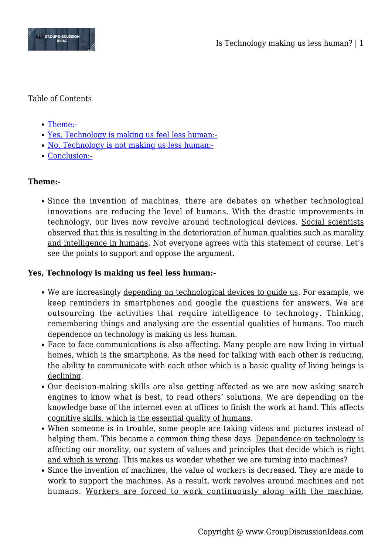

### Table of Contents

- [Theme:-](#page--1-0)
- [Yes, Technology is making us feel less human:-](#page--1-0)
- [No, Technology is not making us less human:-](#page--1-0)
- [Conclusion:-](#page--1-0)

# **Theme:-**

• Since the invention of machines, there are debates on whether technological innovations are reducing the level of humans. With the drastic improvements in technology, our lives now revolve around technological devices. Social scientists observed that this is resulting in the deterioration of human qualities such as morality and intelligence in humans. Not everyone agrees with this statement of course. Let's see the points to support and oppose the argument.

## **Yes, Technology is making us feel less human:-**

- We are increasingly depending on technological devices to guide us. For example, we keep reminders in smartphones and google the questions for answers. We are outsourcing the activities that require intelligence to technology. Thinking, remembering things and analysing are the essential qualities of humans. Too much dependence on technology is making us less human.
- Face to face communications is also affecting. Many people are now living in virtual homes, which is the smartphone. As the need for talking with each other is reducing, the ability to communicate with each other which is a basic quality of living beings is declining.
- Our decision-making skills are also getting affected as we are now asking search engines to know what is best, to read others' solutions. We are depending on the knowledge base of the internet even at offices to finish the work at hand. This affects cognitive skills, which is the essential quality of humans.
- When someone is in trouble, some people are taking videos and pictures instead of helping them. This became a common thing these days. Dependence on technology is affecting our morality, our system of values and principles that decide which is right and which is wrong. This makes us wonder whether we are turning into machines?
- Since the invention of machines, the value of workers is decreased. They are made to work to support the machines. As a result, work revolves around machines and not humans. Workers are forced to work continuously along with the machine.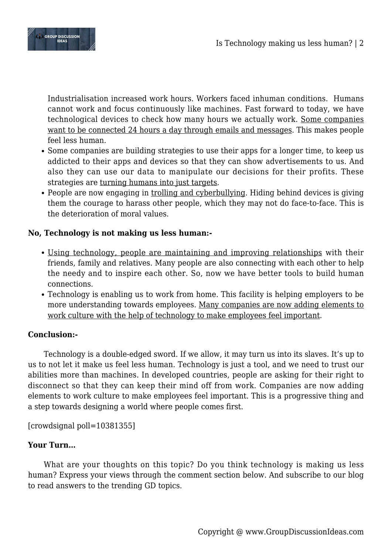

Industrialisation increased work hours. Workers faced inhuman conditions. Humans cannot work and focus continuously like machines. Fast forward to today, we have technological devices to check how many hours we actually work. Some companies want to be connected 24 hours a day through emails and messages. This makes people feel less human.

- Some companies are building strategies to use their apps for a longer time, to keep us addicted to their apps and devices so that they can show advertisements to us. And also they can use our data to manipulate our decisions for their profits. These strategies are turning humans into just targets.
- People are now engaging in trolling and cyberbullying. Hiding behind devices is giving them the courage to harass other people, which they may not do face-to-face. This is the deterioration of moral values.

## **No, Technology is not making us less human:-**

- Using technology, people are maintaining and improving relationships with their friends, family and relatives. Many people are also connecting with each other to help the needy and to inspire each other. So, now we have better tools to build human connections.
- Technology is enabling us to work from home. This facility is helping employers to be more understanding towards employees. Many companies are now adding elements to work culture with the help of technology to make employees feel important.

## **Conclusion:-**

Technology is a double-edged sword. If we allow, it may turn us into its slaves. It's up to us to not let it make us feel less human. Technology is just a tool, and we need to trust our abilities more than machines. In developed countries, people are asking for their right to disconnect so that they can keep their mind off from work. Companies are now adding elements to work culture to make employees feel important. This is a progressive thing and a step towards designing a world where people comes first.

[crowdsignal poll=10381355]

## **Your Turn…**

What are your thoughts on this topic? Do you think technology is making us less human? Express your views through the comment section below. And subscribe to our blog to read answers to the trending GD topics.